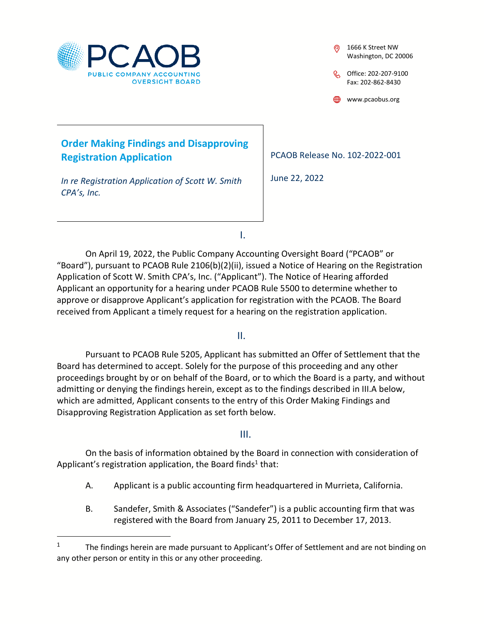

## **Order Making Findings and Disapproving Registration Application**

*In re Registration Application of Scott W. Smith CPA's, Inc.* 

1666 K Street NW Washington, DC 20006

Office: 202-207-9100 Fax: 202-862-8430

www.pcaobus.org

PCAOB Release No. 102-2022-001

June 22, 2022

I.

On April 19, 2022, the Public Company Accounting Oversight Board ("PCAOB" or "Board"), pursuant to PCAOB Rule 2106(b)(2)(ii), issued a Notice of Hearing on the Registration Application of Scott W. Smith CPA's, Inc. ("Applicant"). The Notice of Hearing afforded Applicant an opportunity for a hearing under PCAOB Rule 5500 to determine whether to approve or disapprove Applicant's application for registration with the PCAOB. The Board received from Applicant a timely request for a hearing on the registration application.

II.

Pursuant to PCAOB Rule 5205, Applicant has submitted an Offer of Settlement that the Board has determined to accept. Solely for the purpose of this proceeding and any other proceedings brought by or on behalf of the Board, or to which the Board is a party, and without admitting or denying the findings herein, except as to the findings described in III.A below, which are admitted, Applicant consents to the entry of this Order Making Findings and Disapproving Registration Application as set forth below.

## III.

On the basis of information obtained by the Board in connection with consideration of Applicant's registration application, the Board finds<sup>1</sup> that:

- A. Applicant is a public accounting firm headquartered in Murrieta, California.
- B. Sandefer, Smith & Associates ("Sandefer") is a public accounting firm that was registered with the Board from January 25, 2011 to December 17, 2013.

<sup>1</sup> The findings herein are made pursuant to Applicant's Offer of Settlement and are not binding on any other person or entity in this or any other proceeding.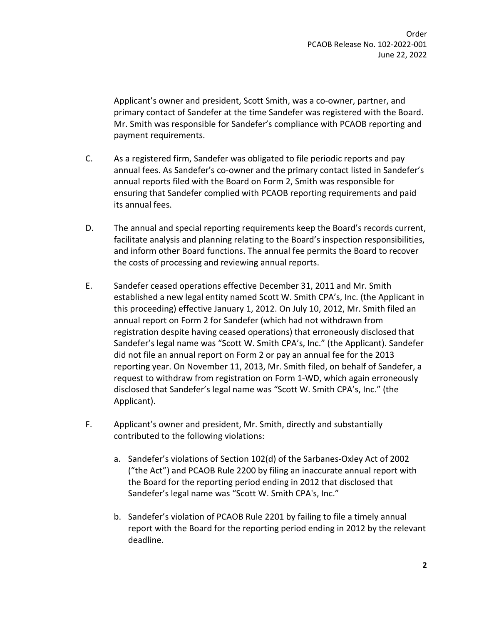Applicant's owner and president, Scott Smith, was a co-owner, partner, and primary contact of Sandefer at the time Sandefer was registered with the Board. Mr. Smith was responsible for Sandefer's compliance with PCAOB reporting and payment requirements.

- C. As a registered firm, Sandefer was obligated to file periodic reports and pay annual fees. As Sandefer's co-owner and the primary contact listed in Sandefer's annual reports filed with the Board on Form 2, Smith was responsible for ensuring that Sandefer complied with PCAOB reporting requirements and paid its annual fees.
- D. The annual and special reporting requirements keep the Board's records current, facilitate analysis and planning relating to the Board's inspection responsibilities, and inform other Board functions. The annual fee permits the Board to recover the costs of processing and reviewing annual reports.
- E. Sandefer ceased operations effective December 31, 2011 and Mr. Smith established a new legal entity named Scott W. Smith CPA's, Inc. (the Applicant in this proceeding) effective January 1, 2012. On July 10, 2012, Mr. Smith filed an annual report on Form 2 for Sandefer (which had not withdrawn from registration despite having ceased operations) that erroneously disclosed that Sandefer's legal name was "Scott W. Smith CPA's, Inc." (the Applicant). Sandefer did not file an annual report on Form 2 or pay an annual fee for the 2013 reporting year. On November 11, 2013, Mr. Smith filed, on behalf of Sandefer, a request to withdraw from registration on Form 1-WD, which again erroneously disclosed that Sandefer's legal name was "Scott W. Smith CPA's, Inc." (the Applicant).
- F. Applicant's owner and president, Mr. Smith, directly and substantially contributed to the following violations:
	- a. Sandefer's violations of Section 102(d) of the Sarbanes-Oxley Act of 2002 ("the Act") and PCAOB Rule 2200 by filing an inaccurate annual report with the Board for the reporting period ending in 2012 that disclosed that Sandefer's legal name was "Scott W. Smith CPA's, Inc."
	- b. Sandefer's violation of PCAOB Rule 2201 by failing to file a timely annual report with the Board for the reporting period ending in 2012 by the relevant deadline.